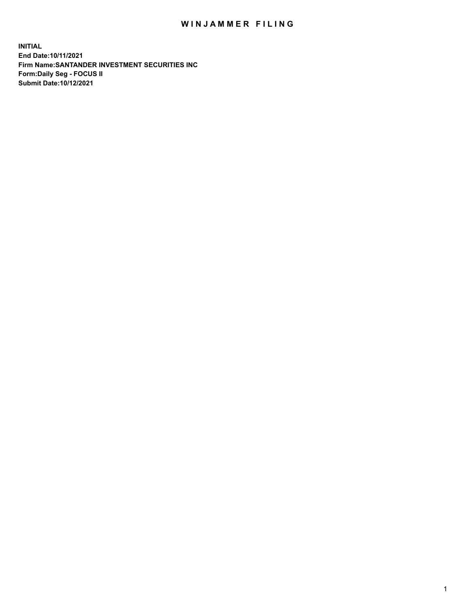## WIN JAMMER FILING

**INITIAL End Date:10/11/2021 Firm Name:SANTANDER INVESTMENT SECURITIES INC Form:Daily Seg - FOCUS II Submit Date:10/12/2021**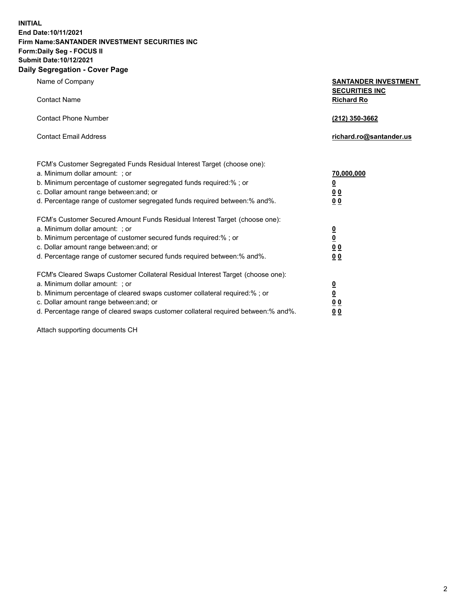**INITIAL End Date:10/11/2021 Firm Name:SANTANDER INVESTMENT SECURITIES INC Form:Daily Seg - FOCUS II Submit Date:10/12/2021 Daily Segregation - Cover Page**

Name of Company **SANTANDER INVESTMENT SECURITIES INC** Contact Name **Richard Ro** Contact Phone Number **(212) 350-3662** Contact Email Address **richard.ro@santander.us** FCM's Customer Segregated Funds Residual Interest Target (choose one): a. Minimum dollar amount: ; or **70,000,000** b. Minimum percentage of customer segregated funds required:% ; or **0** c. Dollar amount range between:and; or **0 0** d. Percentage range of customer segregated funds required between:% and%. **0 0** FCM's Customer Secured Amount Funds Residual Interest Target (choose one): a. Minimum dollar amount: ; or **0** b. Minimum percentage of customer secured funds required:% ; or **0** c. Dollar amount range between:and; or **0 0** d. Percentage range of customer secured funds required between:% and%. **0 0** FCM's Cleared Swaps Customer Collateral Residual Interest Target (choose one): a. Minimum dollar amount: ; or **0** b. Minimum percentage of cleared swaps customer collateral required:% ; or **0** c. Dollar amount range between:and; or **0 0** d. Percentage range of cleared swaps customer collateral required between:% and%. **0 0**

Attach supporting documents CH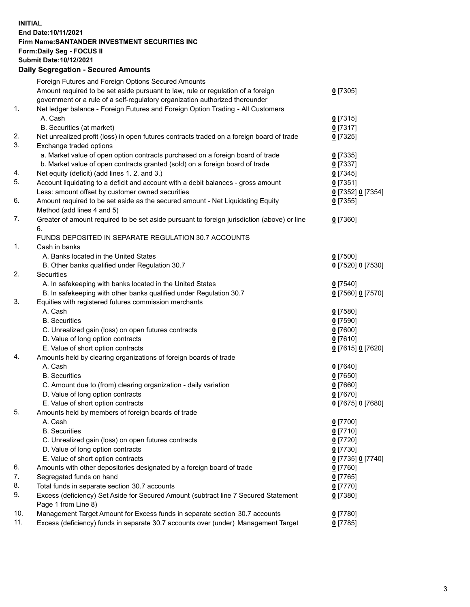## **INITIAL End Date:10/11/2021 Firm Name:SANTANDER INVESTMENT SECURITIES INC Form:Daily Seg - FOCUS II Submit Date:10/12/2021 Daily Segregation - Secured Amounts**

|     | Foreign Futures and Foreign Options Secured Amounts                                         |                   |
|-----|---------------------------------------------------------------------------------------------|-------------------|
|     | Amount required to be set aside pursuant to law, rule or regulation of a foreign            | $0$ [7305]        |
|     | government or a rule of a self-regulatory organization authorized thereunder                |                   |
| 1.  | Net ledger balance - Foreign Futures and Foreign Option Trading - All Customers             |                   |
|     | A. Cash                                                                                     | $0$ [7315]        |
|     | B. Securities (at market)                                                                   | $0$ [7317]        |
| 2.  | Net unrealized profit (loss) in open futures contracts traded on a foreign board of trade   | $0$ [7325]        |
| 3.  | Exchange traded options                                                                     |                   |
|     | a. Market value of open option contracts purchased on a foreign board of trade              | $0$ [7335]        |
|     | b. Market value of open contracts granted (sold) on a foreign board of trade                | $0$ [7337]        |
| 4.  | Net equity (deficit) (add lines 1. 2. and 3.)                                               | $0$ [7345]        |
| 5.  | Account liquidating to a deficit and account with a debit balances - gross amount           | $0$ [7351]        |
|     | Less: amount offset by customer owned securities                                            | 0 [7352] 0 [7354] |
| 6.  | Amount required to be set aside as the secured amount - Net Liquidating Equity              | $0$ [7355]        |
|     | Method (add lines 4 and 5)                                                                  |                   |
| 7.  | Greater of amount required to be set aside pursuant to foreign jurisdiction (above) or line | $0$ [7360]        |
|     | 6.                                                                                          |                   |
|     | FUNDS DEPOSITED IN SEPARATE REGULATION 30.7 ACCOUNTS                                        |                   |
| 1.  | Cash in banks                                                                               |                   |
|     | A. Banks located in the United States                                                       | $0$ [7500]        |
|     | B. Other banks qualified under Regulation 30.7                                              | 0 [7520] 0 [7530] |
| 2.  | Securities                                                                                  |                   |
|     | A. In safekeeping with banks located in the United States                                   | $0$ [7540]        |
|     | B. In safekeeping with other banks qualified under Regulation 30.7                          | 0 [7560] 0 [7570] |
| 3.  | Equities with registered futures commission merchants                                       |                   |
|     | A. Cash                                                                                     | $0$ [7580]        |
|     | <b>B.</b> Securities                                                                        | $0$ [7590]        |
|     | C. Unrealized gain (loss) on open futures contracts                                         | 0 [7600]          |
|     | D. Value of long option contracts                                                           | $0$ [7610]        |
|     | E. Value of short option contracts                                                          | 0 [7615] 0 [7620] |
| 4.  | Amounts held by clearing organizations of foreign boards of trade                           |                   |
|     | A. Cash                                                                                     | $0$ [7640]        |
|     | <b>B.</b> Securities                                                                        | $0$ [7650]        |
|     | C. Amount due to (from) clearing organization - daily variation                             | $0$ [7660]        |
|     | D. Value of long option contracts                                                           | $0$ [7670]        |
|     | E. Value of short option contracts                                                          | 0 [7675] 0 [7680] |
| 5.  | Amounts held by members of foreign boards of trade                                          |                   |
|     | A. Cash                                                                                     | $0$ [7700]        |
|     | <b>B.</b> Securities                                                                        | $0$ [7710]        |
|     | C. Unrealized gain (loss) on open futures contracts                                         | $0$ [7720]        |
|     | D. Value of long option contracts                                                           | $0$ [7730]        |
|     | E. Value of short option contracts                                                          | 0 [7735] 0 [7740] |
| 6.  | Amounts with other depositories designated by a foreign board of trade                      | 0 [7760]          |
| 7.  | Segregated funds on hand                                                                    | $0$ [7765]        |
| 8.  | Total funds in separate section 30.7 accounts                                               | $0$ [7770]        |
| 9.  | Excess (deficiency) Set Aside for Secured Amount (subtract line 7 Secured Statement         | $0$ [7380]        |
|     | Page 1 from Line 8)                                                                         |                   |
| 10. | Management Target Amount for Excess funds in separate section 30.7 accounts                 | $0$ [7780]        |
| 11. | Excess (deficiency) funds in separate 30.7 accounts over (under) Management Target          | $0$ [7785]        |
|     |                                                                                             |                   |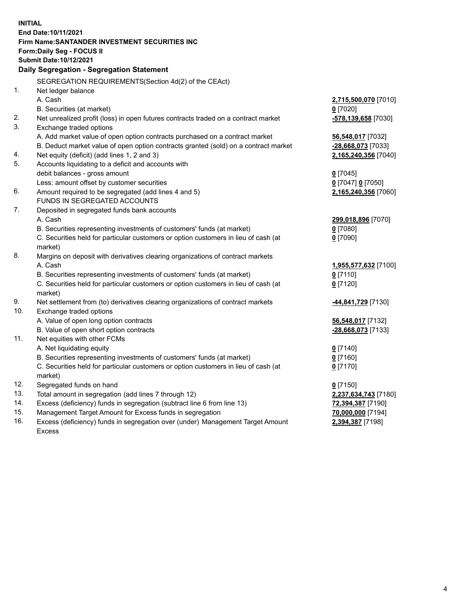| <b>INITIAL</b> |                                                                                     |                      |  |  |  |
|----------------|-------------------------------------------------------------------------------------|----------------------|--|--|--|
|                | End Date: 10/11/2021                                                                |                      |  |  |  |
|                | Firm Name: SANTANDER INVESTMENT SECURITIES INC                                      |                      |  |  |  |
|                | Form: Daily Seg - FOCUS II                                                          |                      |  |  |  |
|                | Submit Date:10/12/2021                                                              |                      |  |  |  |
|                | Daily Segregation - Segregation Statement                                           |                      |  |  |  |
|                | SEGREGATION REQUIREMENTS(Section 4d(2) of the CEAct)                                |                      |  |  |  |
| 1.             | Net ledger balance                                                                  |                      |  |  |  |
|                | A. Cash                                                                             | 2,715,500,070 [7010] |  |  |  |
|                | B. Securities (at market)                                                           | $0$ [7020]           |  |  |  |
| 2.             | Net unrealized profit (loss) in open futures contracts traded on a contract market  | -578,139,658 [7030]  |  |  |  |
| 3.             | Exchange traded options                                                             |                      |  |  |  |
|                | A. Add market value of open option contracts purchased on a contract market         | 56,548,017 [7032]    |  |  |  |
|                | B. Deduct market value of open option contracts granted (sold) on a contract market | -28,668,073 [7033]   |  |  |  |
| 4.             | Net equity (deficit) (add lines 1, 2 and 3)                                         | 2,165,240,356 [7040] |  |  |  |
| 5.             | Accounts liquidating to a deficit and accounts with                                 |                      |  |  |  |
|                | debit balances - gross amount                                                       | $0$ [7045]           |  |  |  |
|                | Less: amount offset by customer securities                                          | 0 [7047] 0 [7050]    |  |  |  |
| 6.             | Amount required to be segregated (add lines 4 and 5)                                | 2,165,240,356 [7060] |  |  |  |
|                | FUNDS IN SEGREGATED ACCOUNTS                                                        |                      |  |  |  |
| 7.             | Deposited in segregated funds bank accounts                                         |                      |  |  |  |
|                | A. Cash                                                                             | 299,018,896 [7070]   |  |  |  |
|                | B. Securities representing investments of customers' funds (at market)              | $0$ [7080]           |  |  |  |
|                | C. Securities held for particular customers or option customers in lieu of cash (at | $0$ [7090]           |  |  |  |
|                | market)                                                                             |                      |  |  |  |
| 8.             | Margins on deposit with derivatives clearing organizations of contract markets      |                      |  |  |  |
|                | A. Cash                                                                             | 1,955,577,632 [7100] |  |  |  |
|                | B. Securities representing investments of customers' funds (at market)              | $0$ [7110]           |  |  |  |
|                | C. Securities held for particular customers or option customers in lieu of cash (at | $0$ [7120]           |  |  |  |
|                | market)                                                                             |                      |  |  |  |
| 9.             | Net settlement from (to) derivatives clearing organizations of contract markets     | 44,841,729 [7130]    |  |  |  |
| 10.            | Exchange traded options                                                             |                      |  |  |  |
|                | A. Value of open long option contracts                                              | 56,548,017 [7132]    |  |  |  |
|                | B. Value of open short option contracts                                             | -28,668,073 [7133]   |  |  |  |
| 11.            | Net equities with other FCMs                                                        |                      |  |  |  |
|                | A. Net liquidating equity                                                           | $0$ [7140]           |  |  |  |
|                | B. Securities representing investments of customers' funds (at market)              | $0$ [7160]           |  |  |  |
|                | C. Securities held for particular customers or option customers in lieu of cash (at | $0$ [7170]           |  |  |  |
|                | market)                                                                             |                      |  |  |  |
| 12.            | Segregated funds on hand                                                            | $0$ [7150]           |  |  |  |
| 13.            | Total amount in segregation (add lines 7 through 12)                                | 2,237,634,743 [7180] |  |  |  |
| 14.            | Excess (deficiency) funds in segregation (subtract line 6 from line 13)             | 72,394,387 [7190]    |  |  |  |
| 15.            | Management Target Amount for Excess funds in segregation                            | 70,000,000 [7194]    |  |  |  |
| 16.            | Excess (deficiency) funds in segregation over (under) Management Target Amount      | 2,394,387 [7198]     |  |  |  |
|                | <b>Excess</b>                                                                       |                      |  |  |  |